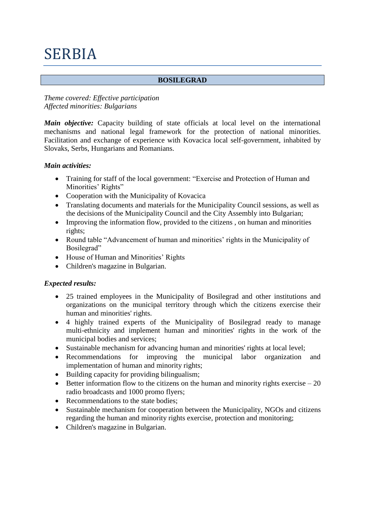# SERBIA

#### **BOSILEGRAD**

# *Theme covered: Effective participation Affected minorities: Bulgarians*

*Main objective:* Capacity building of state officials at local level on the international mechanisms and national legal framework for the protection of national minorities. Facilitation and exchange of experience with Kovacica local self-government, inhabited by Slovaks, Serbs, Hungarians and Romanians.

## *Main activities:*

- Training for staff of the local government: "Exercise and Protection of Human and Minorities' Rights"
- Cooperation with the Municipality of Kovacica
- Translating documents and materials for the Municipality Council sessions, as well as the decisions of the Municipality Council and the City Assembly into Bulgarian;
- Improving the information flow, provided to the citizens , on human and minorities rights;
- Round table "Advancement of human and minorities' rights in the Municipality of Bosilegrad"
- House of Human and Minorities' Rights
- Children's magazine in Bulgarian.

# *Expected results:*

- 25 trained employees in the Municipality of Bosilegrad and other institutions and organizations on the municipal territory through which the citizens exercise their human and minorities' rights.
- 4 highly trained experts of the Municipality of Bosilegrad ready to manage multi-ethnicity and implement human and minorities' rights in the work of the municipal bodies and services;
- Sustainable mechanism for advancing human and minorities' rights at local level;
- Recommendations for improving the municipal labor organization and implementation of human and minority rights;
- Building capacity for providing bilingualism;
- $\bullet$  Better information flow to the citizens on the human and minority rights exercise 20 radio broadcasts and 1000 promo flyers;
- Recommendations to the state bodies:
- Sustainable mechanism for cooperation between the Municipality, NGOs and citizens regarding the human and minority rights exercise, protection and monitoring;
- Children's magazine in Bulgarian.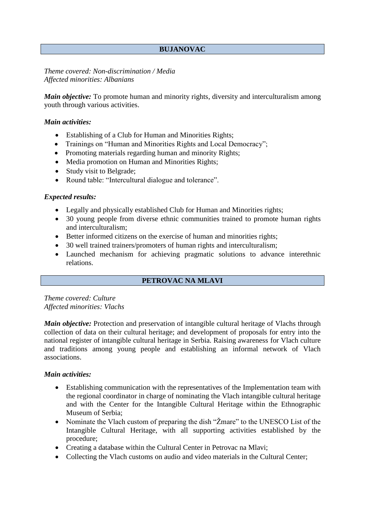# **BUJANOVAC**

*Theme covered: Non-discrimination / Media Affected minorities: Albanians*

*Main objective:* To promote human and minority rights, diversity and interculturalism among youth through various activities.

#### *Main activities:*

- Establishing of a Club for Human and Minorities Rights;
- Trainings on "Human and Minorities Rights and Local Democracy":
- Promoting materials regarding human and minority Rights;
- Media promotion on Human and Minorities Rights;
- Study visit to Belgrade;
- Round table: "Intercultural dialogue and tolerance".

#### *Expected results:*

- Legally and physically established Club for Human and Minorities rights;
- 30 young people from diverse ethnic communities trained to promote human rights and interculturalism;
- Better informed citizens on the exercise of human and minorities rights;
- 30 well trained trainers/promoters of human rights and interculturalism:
- Launched mechanism for achieving pragmatic solutions to advance interethnic relations.

# **PETROVAC NA MLAVI**

*Theme covered: Culture Affected minorities: Vlachs*

*Main objective:* Protection and preservation of intangible cultural heritage of Vlachs through collection of data on their cultural heritage; and development of proposals for entry into the national register of intangible cultural heritage in Serbia. Raising awareness for Vlach culture and traditions among young people and establishing an informal network of Vlach associations.

#### *Main activities:*

- Establishing communication with the representatives of the Implementation team with the regional coordinator in charge of nominating the Vlach intangible cultural heritage and with the Center for the Intangible Cultural Heritage within the Ethnographic Museum of Serbia:
- Nominate the Vlach custom of preparing the dish "Žmare" to the UNESCO List of the Intangible Cultural Heritage, with all supporting activities established by the procedure;
- Creating a database within the Cultural Center in Petrovac na Mlavi:
- Collecting the Vlach customs on audio and video materials in the Cultural Center;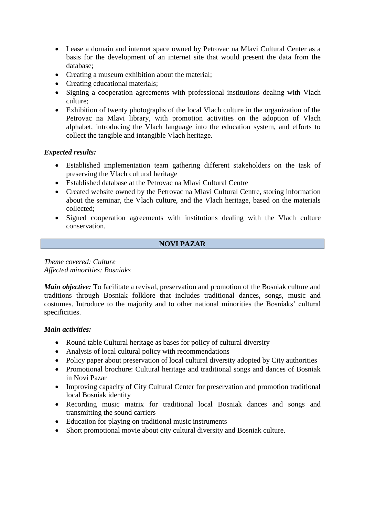- Lease a domain and internet space owned by Petrovac na Mlavi Cultural Center as a basis for the development of an internet site that would present the data from the database;
- Creating a museum exhibition about the material;
- Creating educational materials;
- Signing a cooperation agreements with professional institutions dealing with Vlach culture;
- Exhibition of twenty photographs of the local Vlach culture in the organization of the Petrovac na Mlavi library, with promotion activities on the adoption of Vlach alphabet, introducing the Vlach language into the education system, and efforts to collect the tangible and intangible Vlach heritage.

# *Expected results:*

- Established implementation team gathering different stakeholders on the task of preserving the Vlach cultural heritage
- Established database at the Petrovac na Mlavi Cultural Centre
- Created website owned by the Petrovac na Mlavi Cultural Centre, storing information about the seminar, the Vlach culture, and the Vlach heritage, based on the materials collected;
- Signed cooperation agreements with institutions dealing with the Vlach culture conservation.

## **NOVI PAZAR**

*Theme covered: Culture Affected minorities: Bosniaks*

*Main objective:* To facilitate a revival, preservation and promotion of the Bosniak culture and traditions through Bosniak folklore that includes traditional dances, songs, music and costumes. Introduce to the majority and to other national minorities the Bosniaks' cultural specificities.

#### *Main activities:*

- Round table Cultural heritage as bases for policy of cultural diversity
- Analysis of local cultural policy with recommendations
- Policy paper about preservation of local cultural diversity adopted by City authorities
- Promotional brochure: Cultural heritage and traditional songs and dances of Bosniak in Novi Pazar
- Improving capacity of City Cultural Center for preservation and promotion traditional local Bosniak identity
- Recording music matrix for traditional local Bosniak dances and songs and transmitting the sound carriers
- Education for playing on traditional music instruments
- Short promotional movie about city cultural diversity and Bosniak culture.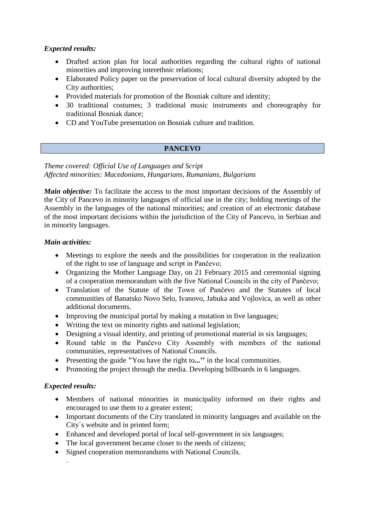# *Expected results:*

- Drafted action plan for local authorities regarding the cultural rights of national minorities and improving interethnic relations;
- Elaborated Policy paper on the preservation of local cultural diversity adopted by the City authorities;
- Provided materials for promotion of the Bosniak culture and identity;
- 30 traditional costumes; 3 traditional music instruments and choreography for traditional Bosniak dance;
- CD and YouTube presentation on Bosniak culture and tradition.

# **PANCEVO**

# *Theme covered: Official Use of Languages and Script Affected minorities: Macedonians, Hungarians, Rumanians, Bulgarians*

*Main objective:* To facilitate the access to the most important decisions of the Assembly of the City of Pancevo in minority languages of official use in the city; holding meetings of the Assembly in the languages of the national minorities; and creation of an electronic database of the most important decisions within the jurisdiction of the City of Pancevo, in Serbian and in minority languages.

# *Main activities:*

- Meetings to explore the needs and the possibilities for cooperation in the realization of the right to use of language and script in Pančevo;
- Organizing the Mother Language Day, on 21 February 2015 and ceremonial signing of a cooperation memorandum with the five National Councils in the city of Pančevo;
- Translation of the Statute of the Town of Pančevo and the Statutes of local communities of Banatsko Novo Selo, Ivanovo, Jabuka and Vojlovica, as well as other additional documents.
- Improving the municipal portal by making a mutation in five languages;
- Writing the text on minority rights and national legislation;
- Designing a visual identity, and printing of promotional material in six languages;
- Round table in the Pančevo City Assembly with members of the national communities, representatives of National Councils.
- Presenting the guide **"**You have the right to**...''** in the local communities.
- Promoting the project through the media. Developing billboards in 6 languages.

# *Expected results:*

.

- Members of national minorities in municipality informed on their rights and encouraged to use them to a greater extent;
- Important documents of the City translated in minority languages and available on the City`s website and in printed form;
- Enhanced and developed portal of local self-government in six languages;
- The local government became closer to the needs of citizens;
- Signed cooperation memorandums with National Councils.